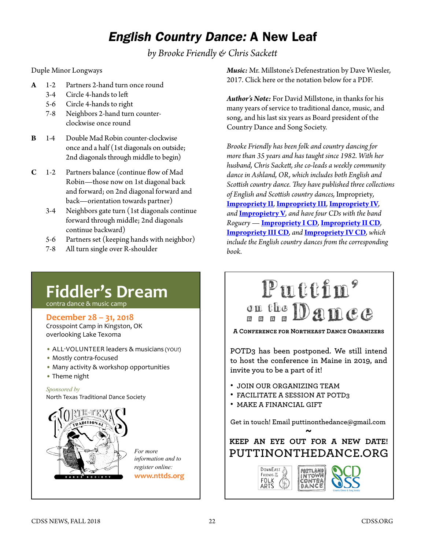## *English Country Dance:* A New Leaf

*by Brooke Friendly & Chris Sackett*

Duple Minor Longways

- **A** 1-2 Partners 2-hand turn once round
	- 3-4 Circle 4-hands to left
	- 5-6 Circle 4-hands to right
	- 7-8 Neighbors 2-hand turn counter clockwise once round
- **B** 1-4 Double Mad Robin counter-clockwise once and a half (1st diagonals on outside; 2nd diagonals through middle to begin)
- **C** 1-2 Partners balance (continue flow of Mad Robin—those now on 1st diagonal back and forward; on 2nd diagonal forward and back—orientation towards partner)
	- 3-4 Neighbors gate turn (1st diagonals continue forward through middle; 2nd diagonals continue backward)
	- 5-6 Partners set (keeping hands with neighbor)
	- 7-8 All turn single over R-shoulder

*Music:* Mr. Millstone's Defenestration by Dave Wiesler, 2017. Click here or the notation below for a PDF.

*Author's Note:* For David Millstone, in thanks for his many years of service to traditional dance, music, and song, and his last six years as Board president of the Country Dance and Song Society.

*Brooke Friendly has been folk and country dancing for more than 35 years and has taught since 1982. With her husband, Chris Sackett, she co-leads a weekly community dance in Ashland, OR, which includes both English and Scottish country dance. They have published three collections of English and Scottish country dances,* Impropriety*,*  **[Impropriety II](https://www.cdss.org/vm-store/store-home/books/impropriety-volume-two-the-country-dances-of-brooke-friendly-and-chris-sackett-343-detail)***,* **[Impropriety III](https://www.cdss.org/vm-store/store-home/books/impropriety-volume-three-the-country-dances-of-brooke-friendly-and-chris-sackett-418-detail)***,* **[Impropriety IV](https://www.cdss.org/vm-store/store-home/books/impropriety-volume-lv-the-country-dances-of-brooke-friendly-and-chris-sackett-485-detail)***, and* **[Impropietry V](https://www.cdss.org/vm-store/store-home/books/impropriety-volume-v-the-country-dances-of-brooke-friendly-and-chris-sackett-597-detail)***, and have four CDs with the band Roguery —* **[Impropriety I CD](https://www.cdss.org/vm-store/store-home/audio/impropriety-volume-l-394-detail)***,* **[Impropriety II CD](https://www.cdss.org/vm-store/store-home/audio/impropriety-volume-ll-486-detail)***,*  **[Impropriety III CD](https://www.cdss.org/vm-store/store-home/audio/impropriety-volume-lll-487-detail)***, and* **[Impropriety IV CD](https://www.cdss.org/vm-store/store-home/audio/impropriety-volume-lv-488-detail)***, which include the English country dances from the corresponding book.*

## **[Fiddler's Dream](https://www.nttds.org/fdream/home.html)**

contra dance & music camp

### **December 28 – 31, 2018**

Crosspoint Camp in Kingston, OK overlooking Lake Texoma

- ALL-VOLUNTEER leaders & musicians (YOU!)
- Mostly contra-focused
- Many activity & workshop opportunities
- Theme night

*Sponsored by* North Texas Traditional Dance Society



*For more information and to register online:* **www.nttds.org**

# Puttin<sup>9</sup> on the Dance

#### **A Conference for Northeast Dance Organizers**

**POTD3 has been postponed. We still intend to host the conference in Maine in 2019, and invite you to be a part of it!** 

- **. JOIN OUR ORGANIZING TEAM**
- **. FACILITATE A SESSION AT POTD3**
- **. MAKE A FINANCIAL GIFT**

**Get in touch! Email puttinonthedance@gmail.com ~**

## **[PUTTINONTHEDANCE.ORG](http://www.puttinonthedance.org/) KEEP AN EYE OUT FOR A NEW DATE!**